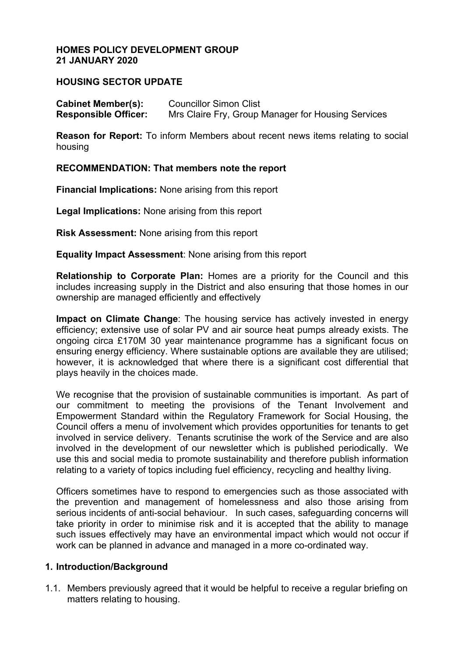### **HOMES POLICY DEVELOPMENT GROUP 21 JANUARY 2020**

# **HOUSING SECTOR UPDATE**

**Cabinet Member(s):** Councillor Simon Clist **Responsible Officer:** Mrs Claire Fry, Group Manager for Housing Services

**Reason for Report:** To inform Members about recent news items relating to social housing

### **RECOMMENDATION: That members note the report**

**Financial Implications:** None arising from this report

**Legal Implications:** None arising from this report

**Risk Assessment:** None arising from this report

**Equality Impact Assessment**: None arising from this report

**Relationship to Corporate Plan:** Homes are a priority for the Council and this includes increasing supply in the District and also ensuring that those homes in our ownership are managed efficiently and effectively

**Impact on Climate Change**: The housing service has actively invested in energy efficiency; extensive use of solar PV and air source heat pumps already exists. The ongoing circa £170M 30 year maintenance programme has a significant focus on ensuring energy efficiency. Where sustainable options are available they are utilised; however, it is acknowledged that where there is a significant cost differential that plays heavily in the choices made.

We recognise that the provision of sustainable communities is important. As part of our commitment to meeting the provisions of the Tenant Involvement and Empowerment Standard within the Regulatory Framework for Social Housing, the Council offers a menu of involvement which provides opportunities for tenants to get involved in service delivery. Tenants scrutinise the work of the Service and are also involved in the development of our newsletter which is published periodically. We use this and social media to promote sustainability and therefore publish information relating to a variety of topics including fuel efficiency, recycling and healthy living.

Officers sometimes have to respond to emergencies such as those associated with the prevention and management of homelessness and also those arising from serious incidents of anti-social behaviour. In such cases, safeguarding concerns will take priority in order to minimise risk and it is accepted that the ability to manage such issues effectively may have an environmental impact which would not occur if work can be planned in advance and managed in a more co-ordinated way.

### **1. Introduction/Background**

1.1. Members previously agreed that it would be helpful to receive a regular briefing on matters relating to housing.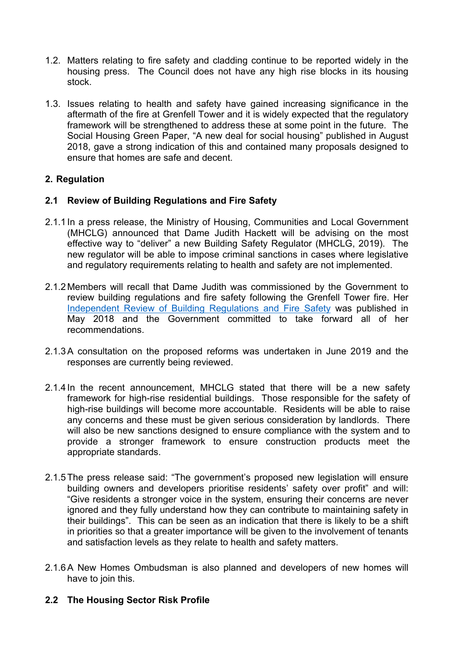- 1.2. Matters relating to fire safety and cladding continue to be reported widely in the housing press. The Council does not have any high rise blocks in its housing stock.
- 1.3. Issues relating to health and safety have gained increasing significance in the aftermath of the fire at Grenfell Tower and it is widely expected that the regulatory framework will be strengthened to address these at some point in the future. The Social Housing Green Paper, "A new deal for social housing" published in August 2018, gave a strong indication of this and contained many proposals designed to ensure that homes are safe and decent.

# **2. Regulation**

# **2.1 Review of Building Regulations and Fire Safety**

- 2.1.1 In a press release, the Ministry of Housing, Communities and Local Government (MHCLG) announced that Dame Judith Hackett will be advising on the most effective way to "deliver" a new Building Safety Regulator (MHCLG, 2019). The new regulator will be able to impose criminal sanctions in cases where legislative and regulatory requirements relating to health and safety are not implemented.
- 2.1.2 Members will recall that Dame Judith was commissioned by the Government to review building regulations and fire safety following the Grenfell Tower fire. Her [Independent](https://www.gov.uk/government/collections/independent-review-of-building-regulations-and-fire-safety-hackitt-review) Review of Building Regulations and Fire Safety was published in May 2018 and the Government committed to take forward all of her recommendations.
- 2.1.3A consultation on the proposed reforms was undertaken in June 2019 and the responses are currently being reviewed.
- 2.1.4 In the recent announcement, MHCLG stated that there will be a new safety framework for high-rise residential buildings. Those responsible for the safety of high-rise buildings will become more accountable. Residents will be able to raise any concerns and these must be given serious consideration by landlords. There will also be new sanctions designed to ensure compliance with the system and to provide a stronger framework to ensure construction products meet the appropriate standards.
- 2.1.5The press release said: "The government's proposed new legislation will ensure building owners and developers prioritise residents' safety over profit" and will: "Give residents a stronger voice in the system, ensuring their concerns are never ignored and they fully understand how they can contribute to maintaining safety in their buildings". This can be seen as an indication that there is likely to be a shift in priorities so that a greater importance will be given to the involvement of tenants and satisfaction levels as they relate to health and safety matters.
- 2.1.6A New Homes Ombudsman is also planned and developers of new homes will have to join this.

# **2.2 The Housing Sector Risk Profile**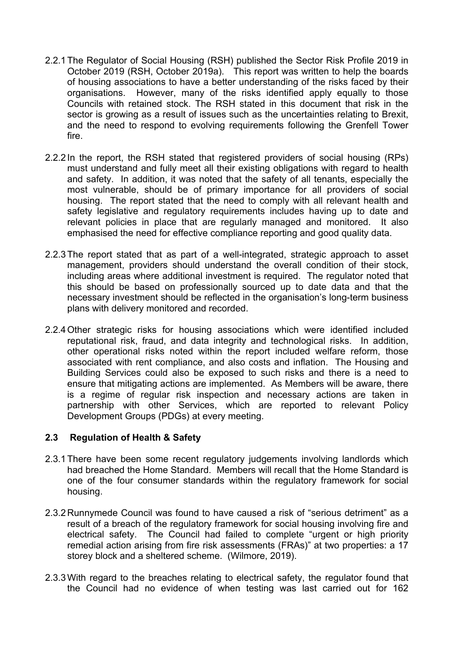- 2.2.1The Regulator of Social Housing (RSH) published the Sector Risk Profile 2019 in October 2019 (RSH, October 2019a). This report was written to help the boards of housing associations to have a better understanding of the risks faced by their organisations. However, many of the risks identified apply equally to those Councils with retained stock. The RSH stated in this document that risk in the sector is growing as a result of issues such as the uncertainties relating to Brexit, and the need to respond to evolving requirements following the Grenfell Tower fire.
- 2.2.2 In the report, the RSH stated that registered providers of social housing (RPs) must understand and fully meet all their existing obligations with regard to health and safety. In addition, it was noted that the safety of all tenants, especially the most vulnerable, should be of primary importance for all providers of social housing. The report stated that the need to comply with all relevant health and safety legislative and regulatory requirements includes having up to date and relevant policies in place that are regularly managed and monitored. It also emphasised the need for effective compliance reporting and good quality data.
- 2.2.3The report stated that as part of a well-integrated, strategic approach to asset management, providers should understand the overall condition of their stock, including areas where additional investment is required. The regulator noted that this should be based on professionally sourced up to date data and that the necessary investment should be reflected in the organisation's long-term business plans with delivery monitored and recorded.
- 2.2.4Other strategic risks for housing associations which were identified included reputational risk, fraud, and data integrity and technological risks. In addition, other operational risks noted within the report included welfare reform, those associated with rent compliance, and also costs and inflation. The Housing and Building Services could also be exposed to such risks and there is a need to ensure that mitigating actions are implemented. As Members will be aware, there is a regime of regular risk inspection and necessary actions are taken in partnership with other Services, which are reported to relevant Policy Development Groups (PDGs) at every meeting.

### **2.3 Regulation of Health & Safety**

- 2.3.1There have been some recent regulatory judgements involving landlords which had breached the Home Standard. Members will recall that the Home Standard is one of the four consumer standards within the regulatory framework for social housing.
- 2.3.2 Runnymede Council was found to have caused a risk of "serious detriment" as a result of a breach of the regulatory framework for social housing involving fire and electrical safety. The Council had failed to complete "urgent or high priority remedial action arising from fire risk assessments (FRAs)" at two properties: a 17 storey block and a sheltered scheme. (Wilmore, 2019).
- 2.3.3With regard to the breaches relating to electrical safety, the regulator found that the Council had no evidence of when testing was last carried out for 162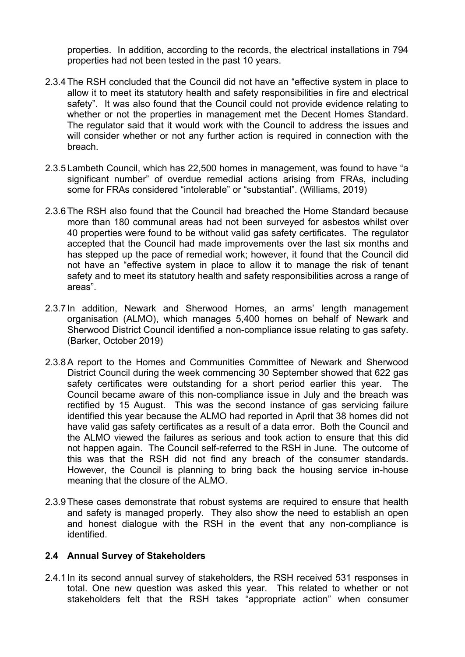properties. In addition, according to the records, the electrical installations in 794 properties had not been tested in the past 10 years.

- 2.3.4The RSH concluded that the Council did not have an "effective system in place to allow it to meet its statutory health and safety responsibilities in fire and electrical safety". It was also found that the Council could not provide evidence relating to whether or not the properties in management met the Decent Homes Standard. The regulator said that it would work with the Council to address the issues and will consider whether or not any further action is required in connection with the breach.
- 2.3.5 Lambeth Council, which has 22,500 homes in management, was found to have "a significant number" of overdue remedial actions arising from FRAs, including some for FRAs considered "intolerable" or "substantial". (Williams, 2019)
- 2.3.6The RSH also found that the Council had breached the Home Standard because more than 180 communal areas had not been surveyed for asbestos whilst over 40 properties were found to be without valid gas safety certificates. The regulator accepted that the Council had made improvements over the last six months and has stepped up the pace of remedial work; however, it found that the Council did not have an "effective system in place to allow it to manage the risk of tenant safety and to meet its statutory health and safety responsibilities across a range of areas".
- 2.3.7 In addition, Newark and Sherwood Homes, an arms' length management organisation (ALMO), which manages 5,400 homes on behalf of Newark and Sherwood District Council identified a non-compliance issue relating to gas safety. (Barker, October 2019)
- 2.3.8A report to the Homes and Communities Committee of Newark and Sherwood District Council during the week commencing 30 September showed that 622 gas safety certificates were outstanding for a short period earlier this year. The Council became aware of this non-compliance issue in July and the breach was rectified by 15 August. This was the second instance of gas servicing failure identified this year because the ALMO had reported in April that 38 homes did not have valid gas safety certificates as a result of a data error. Both the Council and the ALMO viewed the failures as serious and took action to ensure that this did not happen again. The Council self-referred to the RSH in June. The outcome of this was that the RSH did not find any breach of the consumer standards. However, the Council is planning to bring back the housing service in-house meaning that the closure of the ALMO.
- 2.3.9These cases demonstrate that robust systems are required to ensure that health and safety is managed properly. They also show the need to establish an open and honest dialogue with the RSH in the event that any non-compliance is identified.

### **2.4 Annual Survey of Stakeholders**

2.4.1 In its second annual survey of stakeholders, the RSH received 531 responses in total. One new question was asked this year. This related to whether or not stakeholders felt that the RSH takes "appropriate action" when consumer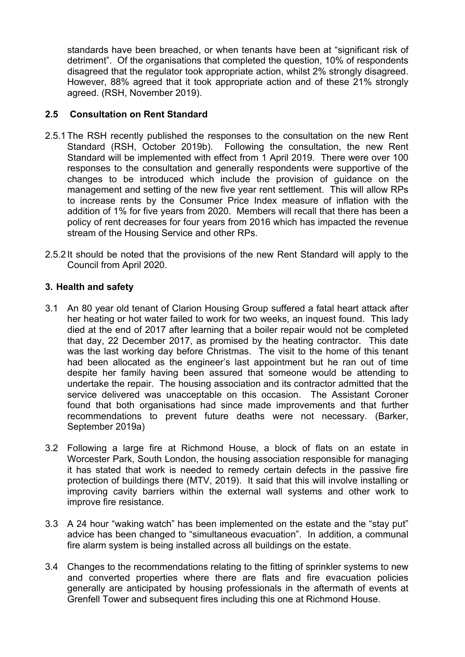standards have been breached, or when tenants have been at "significant risk of detriment". Of the organisations that completed the question, 10% of respondents disagreed that the regulator took appropriate action, whilst 2% strongly disagreed. However, 88% agreed that it took appropriate action and of these 21% strongly agreed. (RSH, November 2019).

## **2.5 Consultation on Rent Standard**

- 2.5.1The RSH recently published the responses to the consultation on the new Rent Standard (RSH, October 2019b). Following the consultation, the new Rent Standard will be implemented with effect from 1 April 2019. There were over 100 responses to the consultation and generally respondents were supportive of the changes to be introduced which include the provision of guidance on the management and setting of the new five year rent settlement. This will allow RPs to increase rents by the Consumer Price Index measure of inflation with the addition of 1% for five years from 2020. Members will recall that there has been a policy of rent decreases for four years from 2016 which has impacted the revenue stream of the Housing Service and other RPs.
- 2.5.2 It should be noted that the provisions of the new Rent Standard will apply to the Council from April 2020.

### **3. Health and safety**

- 3.1 An 80 year old tenant of Clarion Housing Group suffered a fatal heart attack after her heating or hot water failed to work for two weeks, an inquest found. This lady died at the end of 2017 after learning that a boiler repair would not be completed that day, 22 December 2017, as promised by the heating contractor. This date was the last working day before Christmas. The visit to the home of this tenant had been allocated as the engineer's last appointment but he ran out of time despite her family having been assured that someone would be attending to undertake the repair. The housing association and its contractor admitted that the service delivered was unacceptable on this occasion. The Assistant Coroner found that both organisations had since made improvements and that further recommendations to prevent future deaths were not necessary. (Barker, September 2019a)
- 3.2 Following a large fire at Richmond House, a block of flats on an estate in Worcester Park, South London, the housing association responsible for managing it has stated that work is needed to remedy certain defects in the passive fire protection of buildings there (MTV, 2019). It said that this will involve installing or improving cavity barriers within the external wall systems and other work to improve fire resistance.
- 3.3 A 24 hour "waking watch" has been implemented on the estate and the "stay put" advice has been changed to "simultaneous evacuation". In addition, a communal fire alarm system is being installed across all buildings on the estate.
- 3.4 Changes to the recommendations relating to the fitting of sprinkler systems to new and converted properties where there are flats and fire evacuation policies generally are anticipated by housing professionals in the aftermath of events at Grenfell Tower and subsequent fires including this one at Richmond House.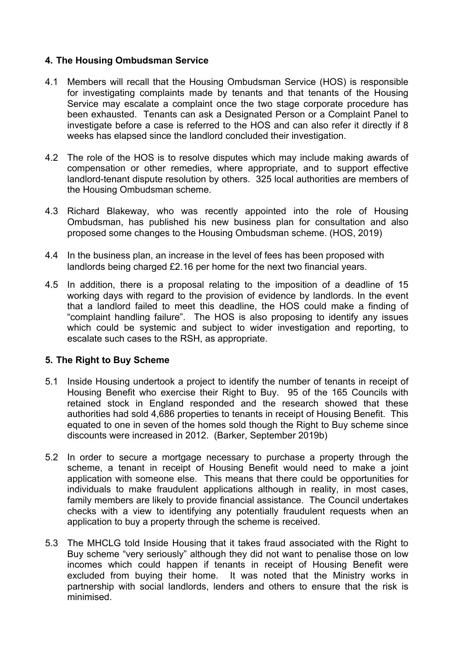## **4. The Housing Ombudsman Service**

- 4.1 Members will recall that the Housing Ombudsman Service (HOS) is responsible for investigating complaints made by tenants and that tenants of the Housing Service may escalate a complaint once the two stage corporate procedure has been exhausted. Tenants can ask a Designated Person or a Complaint Panel to investigate before a case is referred to the HOS and can also refer it directly if 8 weeks has elapsed since the landlord concluded their investigation.
- 4.2 The role of the HOS is to resolve disputes which may include making awards of compensation or other remedies, where appropriate, and to support effective landlord-tenant dispute resolution by others. 325 local authorities are members of the Housing Ombudsman scheme.
- 4.3 Richard Blakeway, who was recently appointed into the role of Housing Ombudsman, has published his new business plan for consultation and also proposed some changes to the Housing Ombudsman scheme. (HOS, 2019)
- 4.4 In the business plan, an increase in the level of fees has been proposed with landlords being charged £2.16 per home for the next two financial years.
- 4.5 In addition, there is a proposal relating to the imposition of a deadline of 15 working days with regard to the provision of evidence by landlords. In the event that a landlord failed to meet this deadline, the HOS could make a finding of "complaint handling failure". The HOS is also proposing to identify any issues which could be systemic and subject to wider investigation and reporting, to escalate such cases to the RSH, as appropriate.

### **5. The Right to Buy Scheme**

- 5.1 Inside Housing undertook a project to identify the number of tenants in receipt of Housing Benefit who exercise their Right to Buy. 95 of the 165 Councils with retained stock in England responded and the research showed that these authorities had sold 4,686 properties to tenants in receipt of Housing Benefit. This equated to one in seven of the homes sold though the Right to Buy scheme since discounts were increased in 2012. (Barker, September 2019b)
- 5.2 In order to secure a mortgage necessary to purchase a property through the scheme, a tenant in receipt of Housing Benefit would need to make a joint application with someone else. This means that there could be opportunities for individuals to make fraudulent applications although in reality, in most cases, family members are likely to provide financial assistance. The Council undertakes checks with a view to identifying any potentially fraudulent requests when an application to buy a property through the scheme is received.
- 5.3 The MHCLG told Inside Housing that it takes fraud associated with the Right to Buy scheme "very seriously" although they did not want to penalise those on low incomes which could happen if tenants in receipt of Housing Benefit were excluded from buying their home. It was noted that the Ministry works in partnership with social landlords, lenders and others to ensure that the risk is minimised.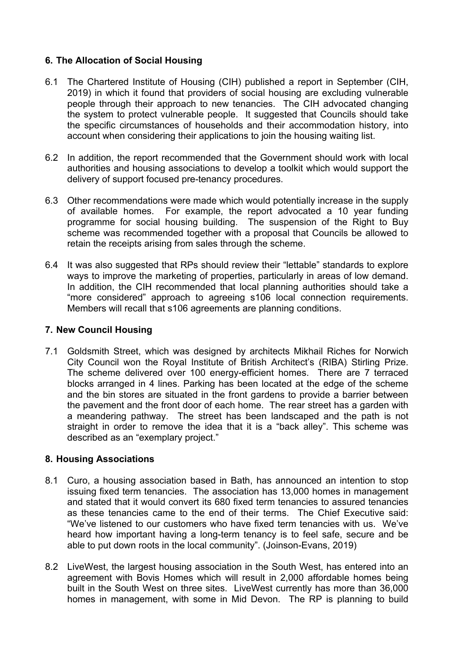# **6. The Allocation of Social Housing**

- 6.1 The Chartered Institute of Housing (CIH) published a report in September (CIH, 2019) in which it found that providers of social housing are excluding vulnerable people through their approach to new tenancies. The CIH advocated changing the system to protect vulnerable people. It suggested that Councils should take the specific circumstances of households and their accommodation history, into account when considering their applications to join the housing waiting list.
- 6.2 In addition, the report recommended that the Government should work with local authorities and housing associations to develop a toolkit which would support the delivery of support focused pre-tenancy procedures.
- 6.3 Other recommendations were made which would potentially increase in the supply of available homes. For example, the report advocated a 10 year funding programme for social housing building. The suspension of the Right to Buy scheme was recommended together with a proposal that Councils be allowed to retain the receipts arising from sales through the scheme.
- 6.4 It was also suggested that RPs should review their "lettable" standards to explore ways to improve the marketing of properties, particularly in areas of low demand. In addition, the CIH recommended that local planning authorities should take a "more considered" approach to agreeing s106 local connection requirements. Members will recall that s106 agreements are planning conditions.

### **7. New Council Housing**

7.1 Goldsmith Street, which was designed by architects Mikhail Riches for Norwich City Council won the Royal Institute of British Architect's (RIBA) Stirling Prize. The scheme delivered over 100 energy-efficient homes. There are 7 terraced blocks arranged in 4 lines. Parking has been located at the edge of the scheme and the bin stores are situated in the front gardens to provide a barrier between the pavement and the front door of each home. The rear street has a garden with a meandering pathway. The street has been landscaped and the path is not straight in order to remove the idea that it is a "back alley". This scheme was described as an "exemplary project."

# **8. Housing Associations**

- 8.1 Curo, a housing association based in Bath, has announced an intention to stop issuing fixed term tenancies. The association has 13,000 homes in management and stated that it would convert its 680 fixed term tenancies to assured tenancies as these tenancies came to the end of their terms. The Chief Executive said: "We've listened to our customers who have fixed term tenancies with us. We've heard how important having a long-term tenancy is to feel safe, secure and be able to put down roots in the local community". (Joinson-Evans, 2019)
- 8.2 LiveWest, the largest housing association in the South West, has entered into an agreement with Bovis Homes which will result in 2,000 affordable homes being built in the South West on three sites. LiveWest currently has more than 36,000 homes in management, with some in Mid Devon. The RP is planning to build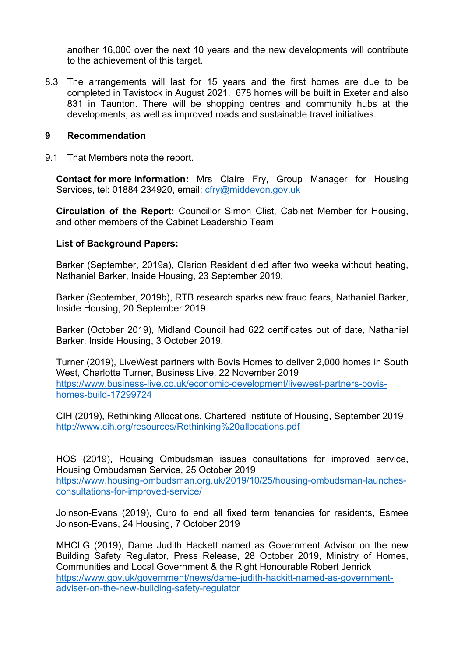another 16,000 over the next 10 years and the new developments will contribute to the achievement of this target.

8.3 The arrangements will last for 15 years and the first homes are due to be completed in Tavistock in August 2021. 678 homes will be built in Exeter and also 831 in Taunton. There will be shopping centres and community hubs at the developments, as well as improved roads and sustainable travel initiatives.

### **9 Recommendation**

9.1 That Members note the report.

**Contact for more Information:** Mrs Claire Fry, Group Manager for Housing Services, tel: 01884 234920, email: [cfry@middevon.gov.uk](mailto:cfry@middevon.gov.uk)

**Circulation of the Report:** Councillor Simon Clist, Cabinet Member for Housing, and other members of the Cabinet Leadership Team

#### **List of Background Papers:**

Barker (September, 2019a), Clarion Resident died after two weeks without heating, Nathaniel Barker, Inside Housing, 23 September 2019,

Barker (September, 2019b), RTB research sparks new fraud fears, Nathaniel Barker, Inside Housing, 20 September 2019

Barker (October 2019), Midland Council had 622 certificates out of date, Nathaniel Barker, Inside Housing, 3 October 2019,

Turner (2019), LiveWest partners with Bovis Homes to deliver 2,000 homes in South West, Charlotte Turner, Business Live, 22 November 2019 [https://www.business-live.co.uk/economic-development/livewest-partners-bovis](https://www.business-live.co.uk/economic-development/livewest-partners-bovis-homes-build-17299724)[homes-build-17299724](https://www.business-live.co.uk/economic-development/livewest-partners-bovis-homes-build-17299724)

CIH (2019), Rethinking Allocations, Chartered Institute of Housing, September 2019 <http://www.cih.org/resources/Rethinking%20allocations.pdf>

HOS (2019), Housing Ombudsman issues consultations for improved service, Housing Ombudsman Service, 25 October 2019 [https://www.housing-ombudsman.org.uk/2019/10/25/housing-ombudsman-launches](https://www.housing-ombudsman.org.uk/2019/10/25/housing-ombudsman-launches-consultations-for-improved-service/)[consultations-for-improved-service/](https://www.housing-ombudsman.org.uk/2019/10/25/housing-ombudsman-launches-consultations-for-improved-service/)

Joinson-Evans (2019), Curo to end all fixed term tenancies for residents, Esmee Joinson-Evans, 24 Housing, 7 October 2019

MHCLG (2019), Dame Judith Hackett named as Government Advisor on the new Building Safety Regulator, Press Release, 28 October 2019, Ministry of Homes, Communities and Local Government & the Right Honourable Robert Jenrick [https://www.gov.uk/government/news/dame-judith-hackitt-named-as-government](https://www.gov.uk/government/news/dame-judith-hackitt-named-as-government-adviser-on-the-new-building-safety-regulator)[adviser-on-the-new-building-safety-regulator](https://www.gov.uk/government/news/dame-judith-hackitt-named-as-government-adviser-on-the-new-building-safety-regulator)